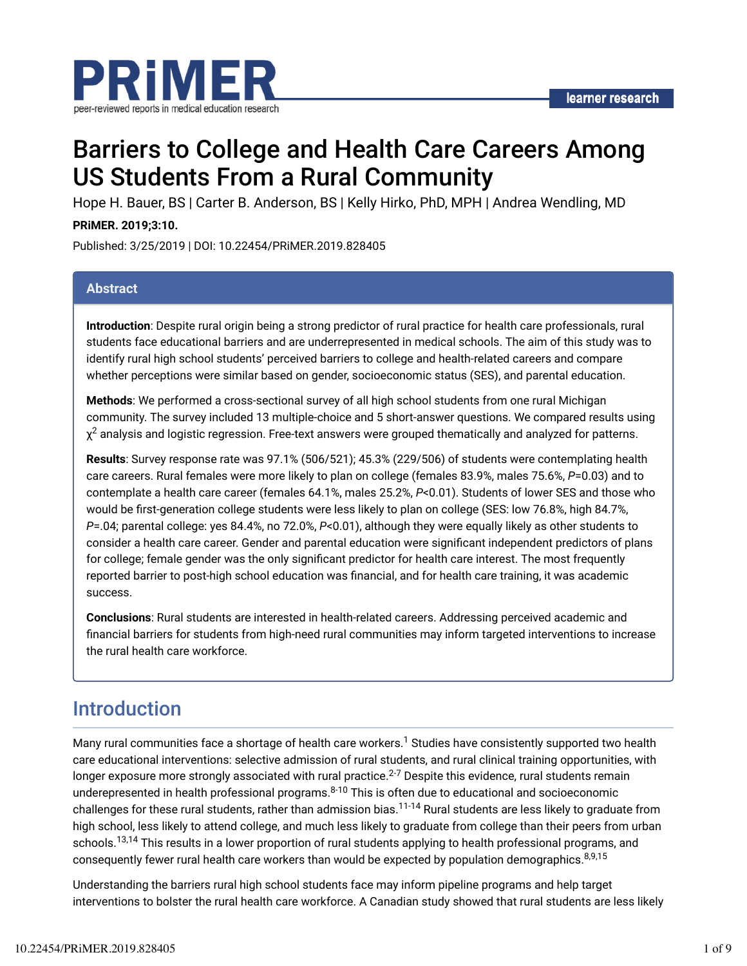

# Barriers to College and Health Care Careers Among US Students From a Rural Community

Hope H. Bauer, BS | Carter B. Anderson, BS | Kelly Hirko, PhD, MPH | Andrea Wendling, MD

#### **PRiMER. 2019;3:10.**

Published: 3/25/2019 | DOI: 10.22454/PRiMER.2019.828405

#### **Abstract**

**Introduction**: Despite rural origin being a strong predictor of rural practice for health care professionals, rural students face educational barriers and are underrepresented in medical schools. The aim of this study was to identify rural high school students' perceived barriers to college and health-related careers and compare whether perceptions were similar based on gender, socioeconomic status (SES), and parental education.

**Methods**: We performed a cross-sectional survey of all high school students from one rural Michigan community. The survey included 13 multiple-choice and 5 short-answer questions. We compared results using  $\chi^2$  analysis and logistic regression. Free-text answers were grouped thematically and analyzed for patterns.

**Results**: Survey response rate was 97.1% (506/521); 45.3% (229/506) of students were contemplating health care careers. Rural females were more likely to plan on college (females 83.9%, males 75.6%, *P*=0.03) and to contemplate a health care career (females 64.1%, males 25.2%, *P*<0.01). Students of lower SES and those who would be first-generation college students were less likely to plan on college (SES: low 76.8%, high 84.7%, *P*=.04; parental college: yes 84.4%, no 72.0%, *P*<0.01), although they were equally likely as other students to consider a health care career. Gender and parental education were significant independent predictors of plans for college; female gender was the only significant predictor for health care interest. The most frequently reported barrier to post-high school education was financial, and for health care training, it was academic success.

**Conclusions**: Rural students are interested in health-related careers. Addressing perceived academic and financial barriers for students from high-need rural communities may inform targeted interventions to increase the rural health care workforce.

## Introduction

Many rural communities face a shortage of health care workers. $^1$  Studies have consistently supported two health care educational interventions: selective admission of rural students, and rural clinical training opportunities, with longer exposure more strongly associated with rural practice. $^{2\text{-}7}$  Despite this evidence, rural students remain underepresented in health professional programs.<sup>8-10</sup> This is often due to educational and socioeconomic challenges for these rural students, rather than admission bias.<sup>11-14</sup> Rural students are less likely to graduate from high school, less likely to attend college, and much less likely to graduate from college than their peers from urban schools.<sup>13,14</sup> This results in a lower proportion of rural students applying to health professional programs, and consequently fewer rural health care workers than would be expected by population demographics.<sup>8,9,15</sup>

Understanding the barriers rural high school students face may inform pipeline programs and help target interventions to bolster the rural health care workforce. A Canadian study showed that rural students are less likely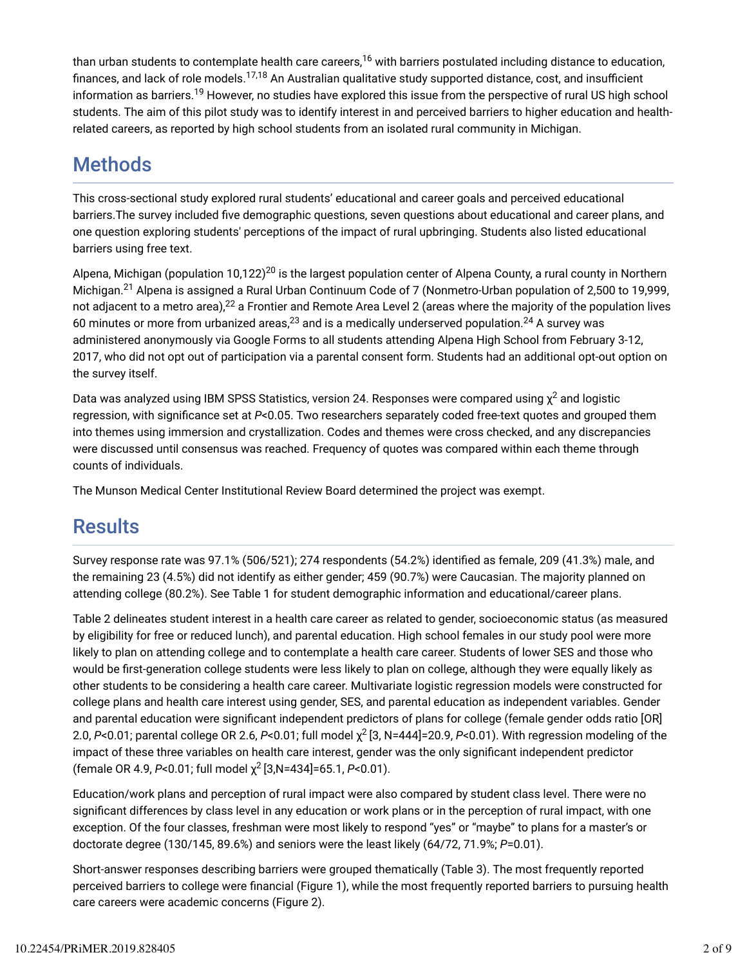than urban students to contemplate health care careers,<sup>16</sup> with barriers postulated including distance to education, finances, and lack of role models.<sup>17,18</sup> An Australian qualitative study supported distance, cost, and insufficient information as barriers.<sup>19</sup> However, no studies have explored this issue from the perspective of rural US high school students. The aim of this pilot study was to identify interest in and perceived barriers to higher education and healthrelated careers, as reported by high school students from an isolated rural community in Michigan.

## **Methods**

This cross-sectional study explored rural students' educational and career goals and perceived educational barriers. The survey included five demographic questions, seven questions about educational and career plans, and one question exploring students' perceptions of the impact of rural upbringing. Students also listed educational barriers using free text.

Alpena, Michigan (population 10,122)<sup>20</sup> is the largest population center of Alpena County, a rural county in Northern Michigan.<sup>21</sup> Alpena is assigned a Rural Urban Continuum Code of 7 (Nonmetro-Urban population of 2,500 to 19,999, not adjacent to a metro area),<sup>22</sup> a Frontier and Remote Area Level 2 (areas where the majority of the population lives 60 minutes or more from urbanized areas, $^{23}$  and is a medically underserved population. $^{24}$  A survey was administered anonymously via Google Forms to all students attending Alpena High School from February 3-12, 2017, who did not opt out of participation via a parental consent form. Students had an additional opt-out option on the survey itself.

Data was analyzed using IBM SPSS Statistics, version 24. Responses were compared using  $\chi^2$  and logistic regression, with significance set at *P<*0.05. Two researchers separately coded free-text quotes and grouped them into themes using immersion and crystallization. Codes and themes were cross checked, and any discrepancies were discussed until consensus was reached. Frequency of quotes was compared within each theme through counts of individuals.

The Munson Medical Center Institutional Review Board determined the project was exempt.

## **Results**

Survey response rate was 97.1% (506/521); 274 respondents (54.2%) identified as female, 209 (41.3%) male, and the remaining 23 (4.5%) did not identify as either gender; 459 (90.7%) were Caucasian. The majority planned on attending college (80.2%). See Table 1 for student demographic information and educational/career plans.

Table 2 delineates student interest in a health care career as related to gender, socioeconomic status (as measured by eligibility for free or reduced lunch), and parental education. High school females in our study pool were more likely to plan on attending college and to contemplate a health care career. Students of lower SES and those who would be first-generation college students were less likely to plan on college, although they were equally likely as other students to be considering a health care career. Multivariate logistic regression models were constructed for college plans and health care interest using gender, SES, and parental education as independent variables. Gender and parental education were significant independent predictors of plans for college (female gender odds ratio [OR] 2.0, P<0.01; parental college OR 2.6, P<0.01; full model χ<sup>2</sup> [3, N=444]=20.9, P<0.01). With regression modeling of the impact of these three variables on health care interest, gender was the only significant independent predictor (female OR 4.9, P<0.01; full model  $\chi^2$ [3,N=434]=65.1, P<0.01).

Education/work plans and perception of rural impact were also compared by student class level. There were no significant differences by class level in any education or work plans or in the perception of rural impact, with one exception. Of the four classes, freshman were most likely to respond "yes" or "maybe" to plans for a master's or doctorate degree (130/145, 89.6%) and seniors were the least likely (64/72, 71.9%; *P*=0.01).

Short-answer responses describing barriers were grouped thematically (Table 3). The most frequently reported perceived barriers to college were financial (Figure 1), while the most frequently reported barriers to pursuing health care careers were academic concerns (Figure 2).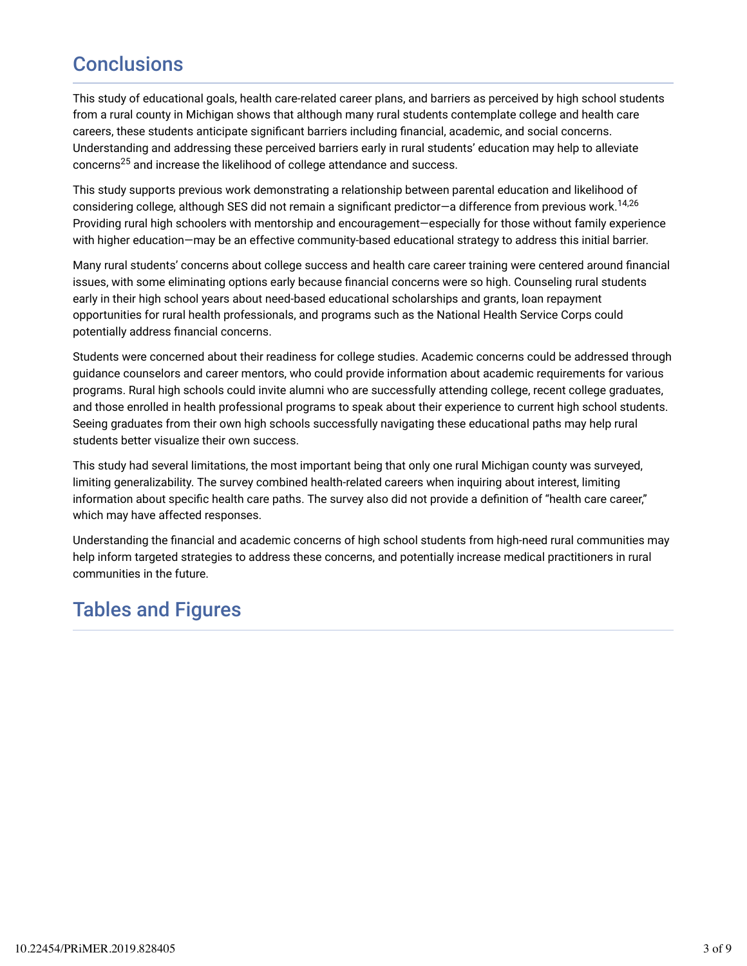# **Conclusions**

This study of educational goals, health care-related career plans, and barriers as perceived by high school students from a rural county in Michigan shows that although many rural students contemplate college and health care careers, these students anticipate significant barriers including financial, academic, and social concerns. Understanding and addressing these perceived barriers early in rural students' education may help to alleviate concerns $^{25}$  and increase the likelihood of college attendance and success.

This study supports previous work demonstrating a relationship between parental education and likelihood of considering college, although SES did not remain a significant predictor—a difference from previous work. $^{14,26}$ Providing rural high schoolers with mentorship and encouragement—especially for those without family experience with higher education—may be an effective community-based educational strategy to address this initial barrier.

Many rural students' concerns about college success and health care career training were centered around financial issues, with some eliminating options early because financial concerns were so high. Counseling rural students early in their high school years about need-based educational scholarships and grants, loan repayment opportunities for rural health professionals, and programs such as the National Health Service Corps could potentially address financial concerns.

Students were concerned about their readiness for college studies. Academic concerns could be addressed through guidance counselors and career mentors, who could provide information about academic requirements for various programs. Rural high schools could invite alumni who are successfully attending college, recent college graduates, and those enrolled in health professional programs to speak about their experience to current high school students. Seeing graduates from their own high schools successfully navigating these educational paths may help rural students better visualize their own success.

This study had several limitations, the most important being that only one rural Michigan county was surveyed, limiting generalizability. The survey combined health-related careers when inquiring about interest, limiting information about specific health care paths. The survey also did not provide a definition of "health care career," which may have affected responses.

Understanding the financial and academic concerns of high school students from high-need rural communities may help inform targeted strategies to address these concerns, and potentially increase medical practitioners in rural communities in the future.

# Tables and Figures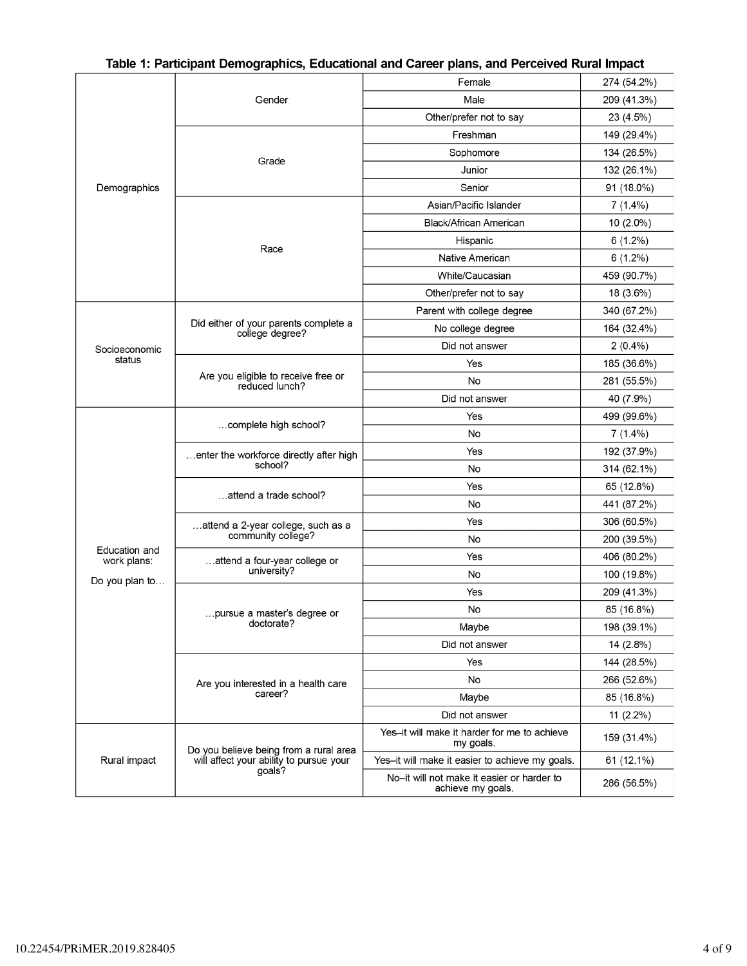|                              |                                                          | Female                                                          | 274 (54.2%)  |
|------------------------------|----------------------------------------------------------|-----------------------------------------------------------------|--------------|
|                              | Gender                                                   | Male                                                            | 209 (41.3%)  |
|                              |                                                          | Other/prefer not to say                                         | 23 (4.5%)    |
|                              |                                                          | Freshman                                                        | 149 (29.4%)  |
|                              |                                                          | Sophomore                                                       | 134 (26.5%)  |
|                              | Grade                                                    | Junior                                                          | 132 (26.1%)  |
| Demographics                 |                                                          | Senior                                                          | 91 (18.0%)   |
|                              |                                                          | Asian/Pacific Islander                                          | $7(1.4\%)$   |
|                              |                                                          | Black/African American                                          | $10(2.0\%)$  |
|                              |                                                          | Hispanic                                                        | $6(1.2\%)$   |
|                              | Race                                                     | Native American                                                 | $6(1.2\%)$   |
|                              |                                                          | White/Caucasian                                                 | 459 (90.7%)  |
|                              |                                                          | Other/prefer not to say                                         | 18 (3.6%)    |
|                              |                                                          | Parent with college degree                                      | 340 (67.2%)  |
|                              | Did either of your parents complete a<br>college degree? | No college degree                                               | 164 (32.4%)  |
| Socioeconomic                |                                                          | Did not answer                                                  | $2(0.4\%)$   |
| status                       |                                                          | Yes                                                             | 185 (36.6%)  |
|                              | Are you eligible to receive free or<br>reduced lunch?    | No                                                              | 281 (55.5%)  |
|                              |                                                          | Did not answer                                                  | 40 (7.9%)    |
|                              |                                                          | Yes                                                             | 499 (99.6%)  |
|                              | complete high school?                                    | No                                                              | $7(1.4\%)$   |
|                              | enter the workforce directly after high                  | Yes                                                             | 192 (37.9%)  |
|                              | school?                                                  | No                                                              | 314 (62.1%)  |
|                              |                                                          | Yes                                                             | 65 (12.8%)   |
|                              | attend a trade school?                                   | No                                                              | 441 (87.2%)  |
|                              | attend a 2-year college, such as a                       | Yes                                                             | 306 (60.5%)  |
|                              | community college?                                       | No                                                              | 200 (39.5%)  |
| Education and<br>work plans: | attend a four-year college or                            | Yes                                                             | 406 (80.2%)  |
| Do you plan to               | university?                                              | No                                                              | 100 (19.8%)  |
|                              |                                                          | Yes                                                             | 209 (41.3%)  |
|                              | pursue a master's degree or                              | No                                                              | 85 (16.8%)   |
|                              | doctorate?                                               | Maybe                                                           | 198 (39.1%)  |
|                              |                                                          | Did not answer                                                  | 14 (2.8%)    |
|                              |                                                          | Yes                                                             | 144 (28.5%)  |
|                              | Are you interested in a health care                      | No                                                              | 266 (52.6%)  |
|                              | career?                                                  | Maybe                                                           | 85 (16.8%)   |
|                              |                                                          | Did not answer                                                  | 11 $(2.2\%)$ |
| Rural impact                 | Do you believe being from a rural area                   | Yes-it will make it harder for me to achieve<br>my goals.       | 159 (31.4%)  |
|                              | will affect your ability to pursue your                  | Yes-it will make it easier to achieve my goals.                 | 61 (12.1%)   |
|                              | goals?                                                   | No-it will not make it easier or harder to<br>achieve my goals. | 286 (56.5%)  |

## Table 1: Participant Demographics, Educational and Career plans, and Perceived Rural Impact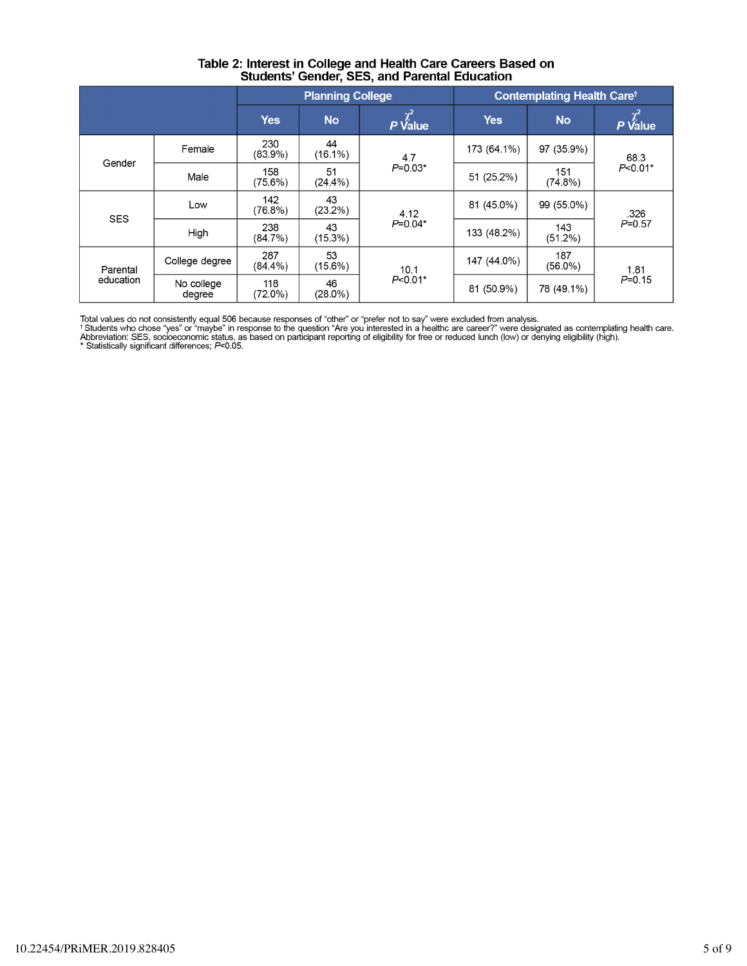| Table 2: Interest in College and Health Care Careers Based on |  |
|---------------------------------------------------------------|--|
| <b>Students' Gender, SES, and Parental Education</b>          |  |

|                       |                      | <b>Planning College</b> |                  | <b>Contemplating Health Caret</b> |             |                   |                                |
|-----------------------|----------------------|-------------------------|------------------|-----------------------------------|-------------|-------------------|--------------------------------|
|                       |                      | <b>Yes</b>              | <b>No</b>        | $\chi^2$<br>P Value               | <b>Yes</b>  | <b>No</b>         | $P \overbrace{Value}^{\chi^2}$ |
| Gender                | Female               | 230<br>$(83.9\%)$       | 44<br>$(16.1\%)$ | 4.7<br>$P=0.03*$                  | 173 (64.1%) | 97 (35.9%)        | 68.3<br>$P<0.01*$              |
|                       | Male                 | 158<br>$(75.6\%)$       | 51<br>$(24.4\%)$ |                                   | 51 (25.2%)  | 151<br>$(74.8\%)$ |                                |
| <b>SES</b>            | Low                  | 142<br>$(76.8\%)$       | 43<br>$(23.2\%)$ | 4.12<br>$P=0.04*$                 | 81 (45.0%)  | 99 (55.0%)        | .326<br>$P = 0.57$             |
|                       | High                 | 238<br>$(84.7\%)$       | 43<br>$(15.3\%)$ |                                   | 133 (48.2%) | 143<br>$(51.2\%)$ |                                |
| Parental<br>education | College degree       | 287<br>$(84.4\%)$       | 53<br>$(15.6\%)$ | 10.1<br>$P<0.01*$                 | 147 (44.0%) | 187<br>$(56.0\%)$ | 1.81<br>$P = 0.15$             |
|                       | No college<br>degree | 118<br>$(72.0\%)$       | 46<br>$(28.0\%)$ |                                   | 81 (50.9%)  | 78 (49.1%)        |                                |

Total values do not consistently equal 506 because responses of "other" or "prefer not to say" were excluded from analysis.<br>† Students who chose "yes" or "maybe" in response to the question "Are you interested in a healthc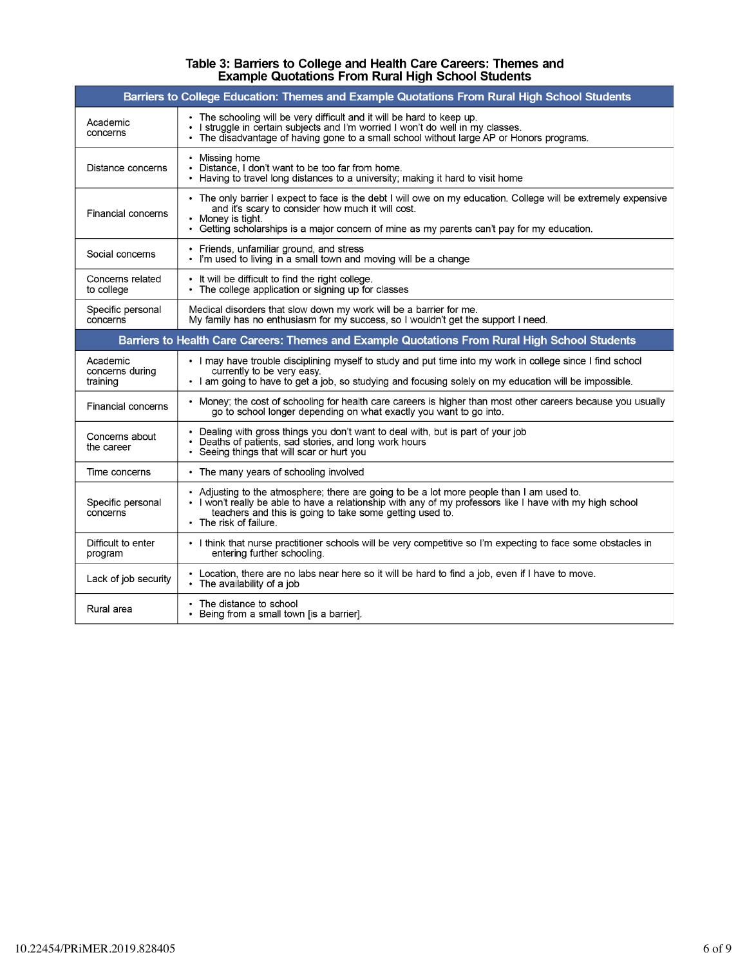# Table 3: Barriers to College and Health Care Careers: Themes and<br>Example Quotations From Rural High School Students

| Barriers to College Education: Themes and Example Quotations From Rural High School Students   |                                                                                                                                                                                                                                                                                              |  |  |
|------------------------------------------------------------------------------------------------|----------------------------------------------------------------------------------------------------------------------------------------------------------------------------------------------------------------------------------------------------------------------------------------------|--|--|
| Academic<br>concerns                                                                           | • The schooling will be very difficult and it will be hard to keep up.<br>. I struggle in certain subjects and I'm worried I won't do well in my classes.<br>• The disadvantage of having gone to a small school without large AP or Honors programs.                                        |  |  |
| Distance concerns                                                                              | • Missing home<br>• Distance, I don't want to be too far from home.<br>Having to travel long distances to a university; making it hard to visit home                                                                                                                                         |  |  |
| Financial concerns                                                                             | • The only barrier I expect to face is the debt I will owe on my education. College will be extremely expensive<br>and it's scary to consider how much it will cost.<br>• Money is tight.<br>• Getting scholarships is a major concern of mine as my parents can't pay for my education.     |  |  |
| Social concerns                                                                                | • Friends, unfamiliar ground, and stress<br>I'm used to living in a small town and moving will be a change                                                                                                                                                                                   |  |  |
| Concerns related<br>to college                                                                 | • It will be difficult to find the right college.<br>• The college application or signing up for classes                                                                                                                                                                                     |  |  |
| Specific personal<br>concerns                                                                  | Medical disorders that slow down my work will be a barrier for me.<br>My family has no enthusiasm for my success, so I wouldn't get the support I need.                                                                                                                                      |  |  |
| Barriers to Health Care Careers: Themes and Example Quotations From Rural High School Students |                                                                                                                                                                                                                                                                                              |  |  |
| Academic<br>concerns during<br>training                                                        | I may have trouble disciplining myself to study and put time into my work in college since I find school<br>currently to be very easy.<br>. I am going to have to get a job, so studying and focusing solely on my education will be impossible.                                             |  |  |
| Financial concerns                                                                             | • Money; the cost of schooling for health care careers is higher than most other careers because you usually<br>go to school longer depending on what exactly you want to go into.                                                                                                           |  |  |
| Concerns about<br>the career                                                                   | • Dealing with gross things you don't want to deal with, but is part of your job<br>• Deaths of patients, sad stories, and long work hours<br>Seeing things that will scar or hurt you                                                                                                       |  |  |
| Time concerns                                                                                  | • The many years of schooling involved                                                                                                                                                                                                                                                       |  |  |
| Specific personal<br>concerns                                                                  | • Adjusting to the atmosphere; there are going to be a lot more people than I am used to.<br>• I won't really be able to have a relationship with any of my professors like I have with my high school<br>teachers and this is going to take some getting used to.<br>• The risk of failure. |  |  |
| Difficult to enter<br>program                                                                  | • I think that nurse practitioner schools will be very competitive so I'm expecting to face some obstacles in<br>entering further schooling.                                                                                                                                                 |  |  |
| Lack of job security                                                                           | • Location, there are no labs near here so it will be hard to find a job, even if I have to move.<br>• The availability of a job                                                                                                                                                             |  |  |
| Rural area                                                                                     | • The distance to school<br>Being from a small town [is a barrier].<br>$\bullet$                                                                                                                                                                                                             |  |  |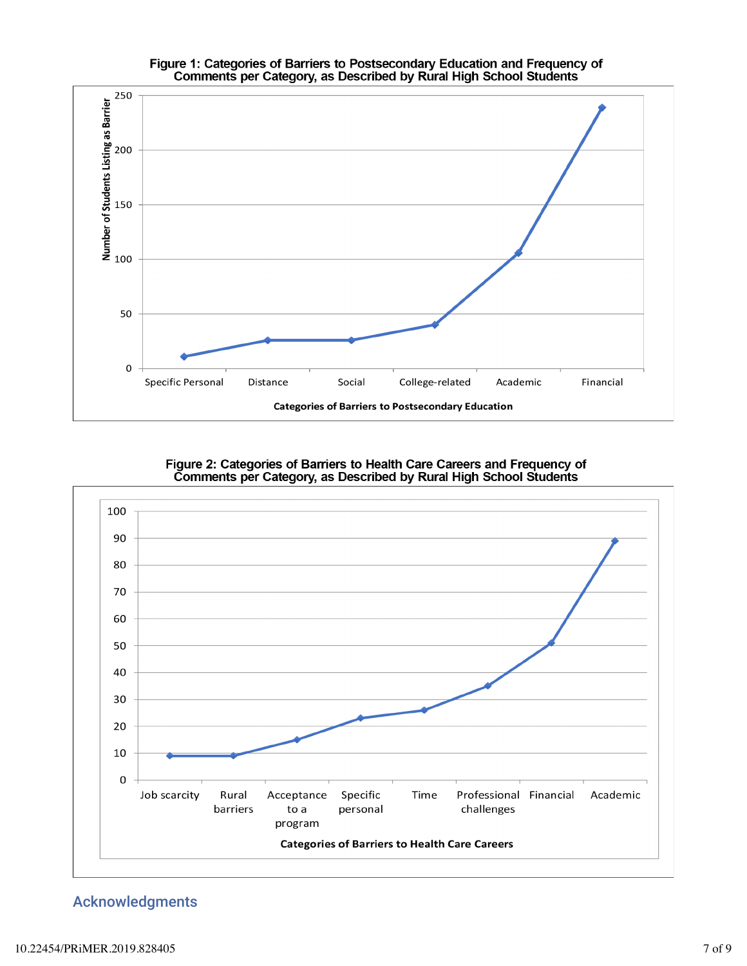

## Figure 1: Categories of Barriers to Postsecondary Education and Frequency of

#### Figure 2: Categories of Barriers to Health Care Careers and Frequency of Comments per Category, as Described by Rural High School Students



Acknowledgments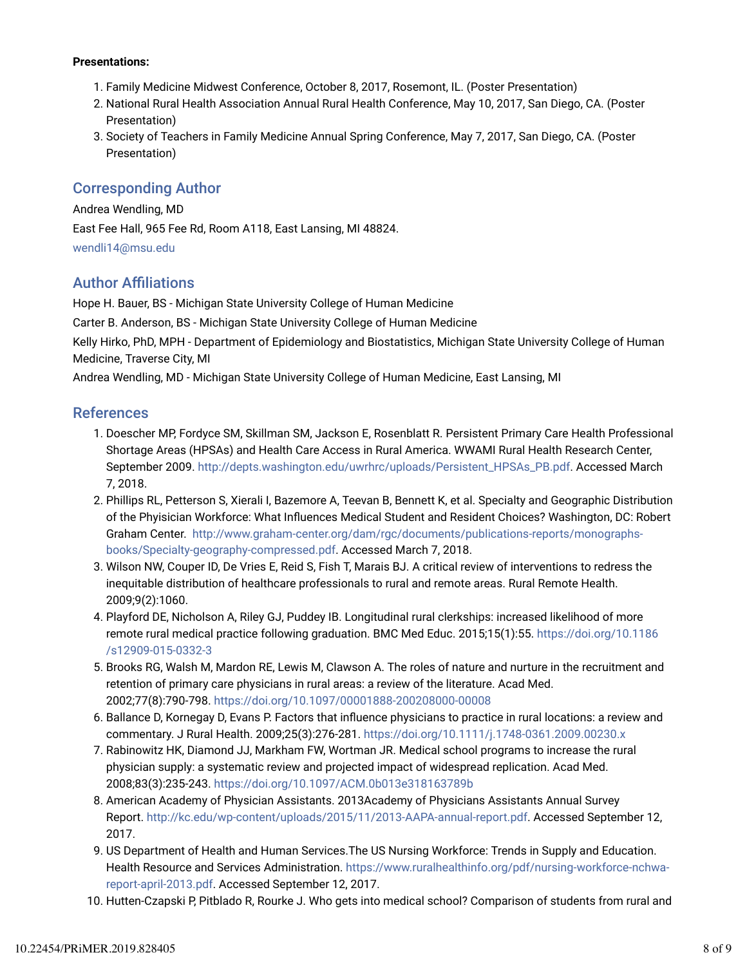#### **Presentations:**

- 1. Family Medicine Midwest Conference, October 8, 2017, Rosemont, IL. (Poster Presentation)
- 2. National Rural Health Association Annual Rural Health Conference, May 10, 2017, San Diego, CA. (Poster Presentation)
- 3. Society of Teachers in Family Medicine Annual Spring Conference, May 7, 2017, San Diego, CA. (Poster Presentation)

## Corresponding Author

Andrea Wendling, MD East Fee Hall, 965 Fee Rd, Room A118, East Lansing, MI 48824. wendli14@msu.edu

## **Author Affiliations**

Hope H. Bauer, BS - Michigan State University College of Human Medicine

Carter B. Anderson, BS - Michigan State University College of Human Medicine

Kelly Hirko, PhD, MPH - Department of Epidemiology and Biostatistics, Michigan State University College of Human Medicine, Traverse City, MI

Andrea Wendling, MD - Michigan State University College of Human Medicine, East Lansing, MI

### References

- 1. Doescher MP, Fordyce SM, Skillman SM, Jackson E, Rosenblatt R. Persistent Primary Care Health Professional Shortage Areas (HPSAs) and Health Care Access in Rural America. WWAMI Rural Health Research Center, September 2009. http://depts.washington.edu/uwrhrc/uploads/Persistent\_HPSAs\_PB.pdf. Accessed March 7, 2018.
- 2. Phillips RL, Petterson S, Xierali I, Bazemore A, Teevan B, Bennett K, et al. Specialty and Geographic Distribution of the Phyisician Workforce: What Intuences Medical Student and Resident Choices? Washington, DC: Robert Graham Center. http://www.graham-center.org/dam/rgc/documents/publications-reports/monographsbooks/Specialty-geography-compressed.pdf. Accessed March 7, 2018.
- 3. Wilson NW, Couper ID, De Vries E, Reid S, Fish T, Marais BJ. A critical review of interventions to redress the inequitable distribution of healthcare professionals to rural and remote areas. Rural Remote Health. 2009;9(2):1060.
- Playford DE, Nicholson A, Riley GJ, Puddey IB. Longitudinal rural clerkships: increased likelihood of more 4. remote rural medical practice following graduation. BMC Med Educ. 2015;15(1):55. https://doi.org/10.1186 /s12909-015-0332-3
- 5. Brooks RG, Walsh M, Mardon RE, Lewis M, Clawson A. The roles of nature and nurture in the recruitment and retention of primary care physicians in rural areas: a review of the literature. Acad Med. 2002;77(8):790-798. https://doi.org/10.1097/00001888-200208000-00008
- 6. Ballance D, Kornegay D, Evans P. Factors that influence physicians to practice in rural locations: a review and commentary. J Rural Health. 2009;25(3):276-281. https://doi.org/10.1111/j.1748-0361.2009.00230.x
- 7. Rabinowitz HK, Diamond JJ, Markham FW, Wortman JR. Medical school programs to increase the rural physician supply: a systematic review and projected impact of widespread replication. Acad Med. 2008;83(3):235-243. https://doi.org/10.1097/ACM.0b013e318163789b
- American Academy of Physician Assistants. 2013Academy of Physicians Assistants Annual Survey 8. Report. http://kc.edu/wp-content/uploads/2015/11/2013-AAPA-annual-report.pdf. Accessed September 12, 2017.
- 9. US Department of Health and Human Services.The US Nursing Workforce: Trends in Supply and Education. Health Resource and Services Administration. https://www.ruralhealthinfo.org/pdf/nursing-workforce-nchwareport-april-2013.pdf. Accessed September 12, 2017.
- 10. Hutten-Czapski P, Pitblado R, Rourke J. Who gets into medical school? Comparison of students from rural and